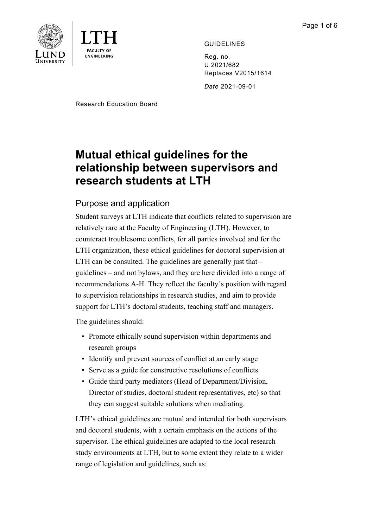



GUIDELINES

Reg. no. U 2021/682 Replaces V2015/1614

*Date* 2021-09-01

Research Education Board

# **Mutual ethical guidelines for the relationship between supervisors and research students at LTH**

# Purpose and application

Student surveys at LTH indicate that conflicts related to supervision are relatively rare at the Faculty of Engineering (LTH). However, to counteract troublesome conflicts, for all parties involved and for the LTH organization, these ethical guidelines for doctoral supervision at LTH can be consulted. The guidelines are generally just that – guidelines – and not bylaws, and they are here divided into a range of recommendations A-H. They reflect the faculty´s position with regard to supervision relationships in research studies, and aim to provide support for LTH's doctoral students, teaching staff and managers.

The guidelines should:

- Promote ethically sound supervision within departments and research groups
- Identify and prevent sources of conflict at an early stage
- Serve as a guide for constructive resolutions of conflicts
- Guide third party mediators (Head of Department/Division, Director of studies, doctoral student representatives, etc) so that they can suggest suitable solutions when mediating.

LTH's ethical guidelines are mutual and intended for both supervisors and doctoral students, with a certain emphasis on the actions of the supervisor. The ethical guidelines are adapted to the local research study environments at LTH, but to some extent they relate to a wider range of legislation and guidelines, such as: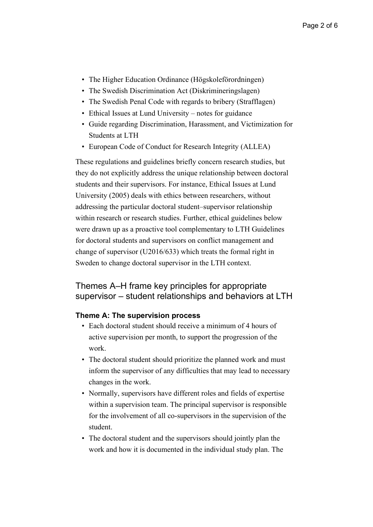- The Higher Education Ordinance (Högskoleförordningen)
- The Swedish Discrimination Act (Diskrimineringslagen)
- The Swedish Penal Code with regards to bribery (Strafflagen)
- Ethical Issues at Lund University notes for guidance
- Guide regarding Discrimination, Harassment, and Victimization for Students at LTH
- European Code of Conduct for Research Integrity (ALLEA)

These regulations and guidelines briefly concern research studies, but they do not explicitly address the unique relationship between doctoral students and their supervisors. For instance, Ethical Issues at Lund University (2005) deals with ethics between researchers, without addressing the particular doctoral student–supervisor relationship within research or research studies. Further, ethical guidelines below were drawn up as a proactive tool complementary to LTH Guidelines for doctoral students and supervisors on conflict management and change of supervisor (U2016/633) which treats the formal right in Sweden to change doctoral supervisor in the LTH context.

# Themes A–H frame key principles for appropriate supervisor – student relationships and behaviors at LTH

## **Theme A: The supervision process**

- Each doctoral student should receive a minimum of 4 hours of active supervision per month, to support the progression of the work.
- The doctoral student should prioritize the planned work and must inform the supervisor of any difficulties that may lead to necessary changes in the work.
- Normally, supervisors have different roles and fields of expertise within a supervision team. The principal supervisor is responsible for the involvement of all co-supervisors in the supervision of the student.
- The doctoral student and the supervisors should jointly plan the work and how it is documented in the individual study plan. The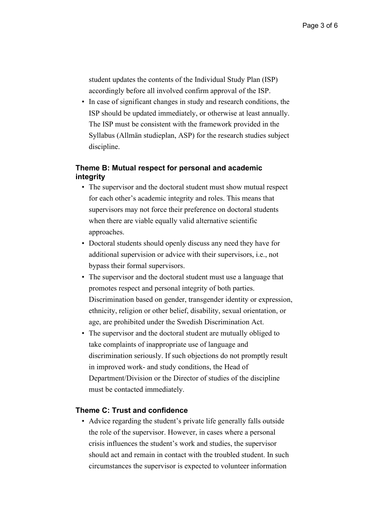student updates the contents of the Individual Study Plan (ISP) accordingly before all involved confirm approval of the ISP.

• In case of significant changes in study and research conditions, the ISP should be updated immediately, or otherwise at least annually. The ISP must be consistent with the framework provided in the Syllabus (Allmän studieplan, ASP) for the research studies subject discipline.

# **Theme B: Mutual respect for personal and academic integrity**

- The supervisor and the doctoral student must show mutual respect for each other's academic integrity and roles. This means that supervisors may not force their preference on doctoral students when there are viable equally valid alternative scientific approaches.
- Doctoral students should openly discuss any need they have for additional supervision or advice with their supervisors, i.e., not bypass their formal supervisors.
- The supervisor and the doctoral student must use a language that promotes respect and personal integrity of both parties. Discrimination based on gender, transgender identity or expression, ethnicity, religion or other belief, disability, sexual orientation, or age, are prohibited under the Swedish Discrimination Act.
- The supervisor and the doctoral student are mutually obliged to take complaints of inappropriate use of language and discrimination seriously. If such objections do not promptly result in improved work- and study conditions, the Head of Department/Division or the Director of studies of the discipline must be contacted immediately.

## **Theme C: Trust and confidence**

• Advice regarding the student's private life generally falls outside the role of the supervisor. However, in cases where a personal crisis influences the student's work and studies, the supervisor should act and remain in contact with the troubled student. In such circumstances the supervisor is expected to volunteer information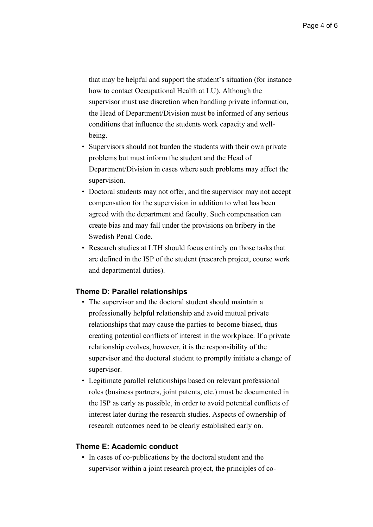that may be helpful and support the student's situation (for instance how to contact Occupational Health at LU). Although the supervisor must use discretion when handling private information, the Head of Department/Division must be informed of any serious conditions that influence the students work capacity and wellbeing.

- Supervisors should not burden the students with their own private problems but must inform the student and the Head of Department/Division in cases where such problems may affect the supervision.
- Doctoral students may not offer, and the supervisor may not accept compensation for the supervision in addition to what has been agreed with the department and faculty. Such compensation can create bias and may fall under the provisions on bribery in the Swedish Penal Code.
- Research studies at LTH should focus entirely on those tasks that are defined in the ISP of the student (research project, course work and departmental duties).

#### **Theme D: Parallel relationships**

- The supervisor and the doctoral student should maintain a professionally helpful relationship and avoid mutual private relationships that may cause the parties to become biased, thus creating potential conflicts of interest in the workplace. If a private relationship evolves, however, it is the responsibility of the supervisor and the doctoral student to promptly initiate a change of supervisor.
- Legitimate parallel relationships based on relevant professional roles (business partners, joint patents, etc.) must be documented in the ISP as early as possible, in order to avoid potential conflicts of interest later during the research studies. Aspects of ownership of research outcomes need to be clearly established early on.

#### **Theme E: Academic conduct**

• In cases of co-publications by the doctoral student and the supervisor within a joint research project, the principles of co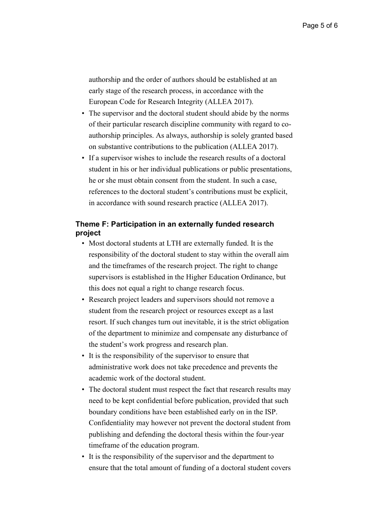authorship and the order of authors should be established at an early stage of the research process, in accordance with the European Code for Research Integrity (ALLEA 2017).

- The supervisor and the doctoral student should abide by the norms of their particular research discipline community with regard to coauthorship principles. As always, authorship is solely granted based on substantive contributions to the publication (ALLEA 2017).
- If a supervisor wishes to include the research results of a doctoral student in his or her individual publications or public presentations, he or she must obtain consent from the student. In such a case, references to the doctoral student's contributions must be explicit, in accordance with sound research practice (ALLEA 2017).

## **Theme F: Participation in an externally funded research project**

- Most doctoral students at LTH are externally funded. It is the responsibility of the doctoral student to stay within the overall aim and the timeframes of the research project. The right to change supervisors is established in the Higher Education Ordinance, but this does not equal a right to change research focus.
- Research project leaders and supervisors should not remove a student from the research project or resources except as a last resort. If such changes turn out inevitable, it is the strict obligation of the department to minimize and compensate any disturbance of the student's work progress and research plan.
- It is the responsibility of the supervisor to ensure that administrative work does not take precedence and prevents the academic work of the doctoral student.
- The doctoral student must respect the fact that research results may need to be kept confidential before publication, provided that such boundary conditions have been established early on in the ISP. Confidentiality may however not prevent the doctoral student from publishing and defending the doctoral thesis within the four-year timeframe of the education program.
- It is the responsibility of the supervisor and the department to ensure that the total amount of funding of a doctoral student covers